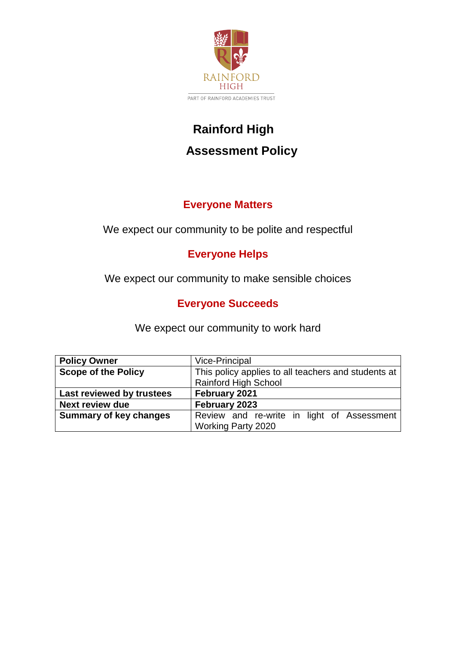

# **Rainford High Assessment Policy**

# **Everyone Matters**

We expect our community to be polite and respectful

# **Everyone Helps**

We expect our community to make sensible choices

# **Everyone Succeeds**

We expect our community to work hard

| <b>Policy Owner</b>           | <b>Vice-Principal</b>                               |
|-------------------------------|-----------------------------------------------------|
| <b>Scope of the Policy</b>    | This policy applies to all teachers and students at |
|                               | Rainford High School                                |
| Last reviewed by trustees     | February 2021                                       |
| <b>Next review due</b>        | February 2023                                       |
| <b>Summary of key changes</b> | Review and re-write in light of Assessment          |
|                               | <b>Working Party 2020</b>                           |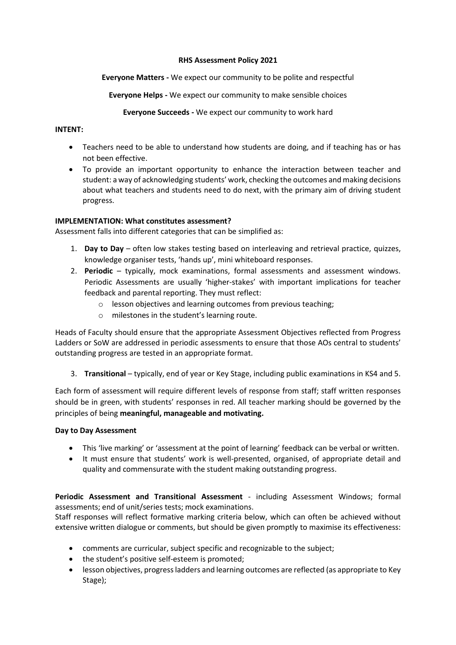#### **RHS Assessment Policy 2021**

## **Everyone Matters -** We expect our community to be polite and respectful

**Everyone Helps -** We expect our community to make sensible choices

**Everyone Succeeds -** We expect our community to work hard

## **INTENT:**

- Teachers need to be able to understand how students are doing, and if teaching has or has not been effective.
- To provide an important opportunity to enhance the interaction between teacher and student: a way of acknowledging students' work, checking the outcomes and making decisions about what teachers and students need to do next, with the primary aim of driving student progress.

## **IMPLEMENTATION: What constitutes assessment?**

Assessment falls into different categories that can be simplified as:

- 1. **Day to Day** often low stakes testing based on interleaving and retrieval practice, quizzes, knowledge organiser tests, 'hands up', mini whiteboard responses.
- 2. **Periodic** typically, mock examinations, formal assessments and assessment windows. Periodic Assessments are usually 'higher-stakes' with important implications for teacher feedback and parental reporting. They must reflect:
	- o lesson objectives and learning outcomes from previous teaching;
	- o milestones in the student's learning route.

Heads of Faculty should ensure that the appropriate Assessment Objectives reflected from Progress Ladders or SoW are addressed in periodic assessments to ensure that those AOs central to students' outstanding progress are tested in an appropriate format.

3. **Transitional** – typically, end of year or Key Stage, including public examinations in KS4 and 5.

Each form of assessment will require different levels of response from staff; staff written responses should be in green, with students' responses in red. All teacher marking should be governed by the principles of being **meaningful, manageable and motivating.**

## **Day to Day Assessment**

- This 'live marking' or 'assessment at the point of learning' feedback can be verbal or written.
- It must ensure that students' work is well-presented, organised, of appropriate detail and quality and commensurate with the student making outstanding progress.

**Periodic Assessment and Transitional Assessment** - including Assessment Windows; formal assessments; end of unit/series tests; mock examinations.

Staff responses will reflect formative marking criteria below, which can often be achieved without extensive written dialogue or comments, but should be given promptly to maximise its effectiveness:

- comments are curricular, subject specific and recognizable to the subject;
- the student's positive self-esteem is promoted;
- lesson objectives, progress ladders and learning outcomes are reflected (as appropriate to Key Stage);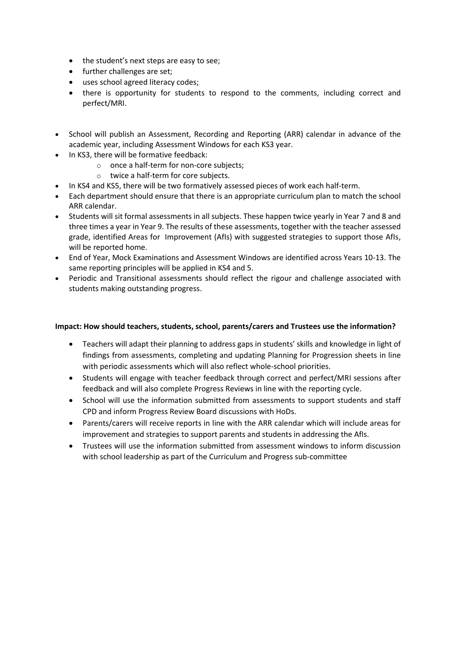- the student's next steps are easy to see;
- further challenges are set;
- uses school agreed literacy codes;
- there is opportunity for students to respond to the comments, including correct and perfect/MRI.
- School will publish an Assessment, Recording and Reporting (ARR) calendar in advance of the academic year, including Assessment Windows for each KS3 year.
- In KS3, there will be formative feedback:
	- o once a half-term for non-core subjects;
	- o twice a half-term for core subjects.
- In KS4 and KS5, there will be two formatively assessed pieces of work each half-term.
- Each department should ensure that there is an appropriate curriculum plan to match the school ARR calendar.
- Students will sit formal assessments in all subjects. These happen twice yearly in Year 7 and 8 and three times a year in Year 9. The results of these assessments, together with the teacher assessed grade, identified Areas for Improvement (AfIs) with suggested strategies to support those AfIs, will be reported home.
- End of Year, Mock Examinations and Assessment Windows are identified across Years 10-13. The same reporting principles will be applied in KS4 and 5.
- Periodic and Transitional assessments should reflect the rigour and challenge associated with students making outstanding progress.

#### **Impact: How should teachers, students, school, parents/carers and Trustees use the information?**

- Teachers will adapt their planning to address gaps in students' skills and knowledge in light of findings from assessments, completing and updating Planning for Progression sheets in line with periodic assessments which will also reflect whole-school priorities.
- Students will engage with teacher feedback through correct and perfect/MRI sessions after feedback and will also complete Progress Reviews in line with the reporting cycle.
- School will use the information submitted from assessments to support students and staff CPD and inform Progress Review Board discussions with HoDs.
- Parents/carers will receive reports in line with the ARR calendar which will include areas for improvement and strategies to support parents and students in addressing the AfIs.
- Trustees will use the information submitted from assessment windows to inform discussion with school leadership as part of the Curriculum and Progress sub-committee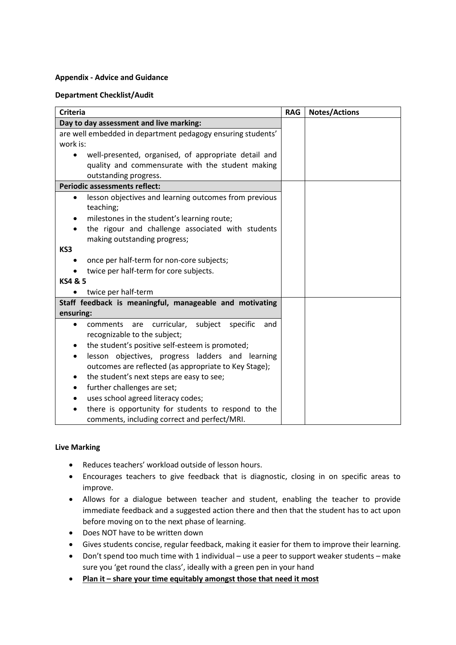#### **Appendix - Advice and Guidance**

#### **Department Checklist/Audit**

| <b>Criteria</b>                                                                                           |  | <b>Notes/Actions</b> |
|-----------------------------------------------------------------------------------------------------------|--|----------------------|
| Day to day assessment and live marking:                                                                   |  |                      |
| are well embedded in department pedagogy ensuring students'                                               |  |                      |
| work is:                                                                                                  |  |                      |
| well-presented, organised, of appropriate detail and<br>$\bullet$                                         |  |                      |
| quality and commensurate with the student making                                                          |  |                      |
| outstanding progress.                                                                                     |  |                      |
| <b>Periodic assessments reflect:</b>                                                                      |  |                      |
| lesson objectives and learning outcomes from previous<br>$\bullet$<br>teaching;                           |  |                      |
| milestones in the student's learning route;<br>٠                                                          |  |                      |
| the rigour and challenge associated with students                                                         |  |                      |
| making outstanding progress;                                                                              |  |                      |
| KS3                                                                                                       |  |                      |
| once per half-term for non-core subjects;                                                                 |  |                      |
| twice per half-term for core subjects.                                                                    |  |                      |
| KS4 & 5                                                                                                   |  |                      |
| twice per half-term                                                                                       |  |                      |
| Staff feedback is meaningful, manageable and motivating                                                   |  |                      |
| ensuring:                                                                                                 |  |                      |
| curricular,<br>subject<br>specific<br>comments<br>are<br>and<br>$\bullet$<br>recognizable to the subject; |  |                      |
| the student's positive self-esteem is promoted;                                                           |  |                      |
| lesson objectives, progress ladders and learning<br>٠                                                     |  |                      |
| outcomes are reflected (as appropriate to Key Stage);                                                     |  |                      |
| the student's next steps are easy to see;                                                                 |  |                      |
| further challenges are set;<br>٠                                                                          |  |                      |
| uses school agreed literacy codes;                                                                        |  |                      |
| there is opportunity for students to respond to the                                                       |  |                      |
| comments, including correct and perfect/MRI.                                                              |  |                      |

#### **Live Marking**

- Reduces teachers' workload outside of lesson hours.
- Encourages teachers to give feedback that is diagnostic, closing in on specific areas to improve.
- Allows for a dialogue between teacher and student, enabling the teacher to provide immediate feedback and a suggested action there and then that the student has to act upon before moving on to the next phase of learning.
- Does NOT have to be written down
- Gives students concise, regular feedback, making it easier for them to improve their learning.
- Don't spend too much time with 1 individual use a peer to support weaker students make sure you 'get round the class', ideally with a green pen in your hand
- **Plan it – share your time equitably amongst those that need it most**